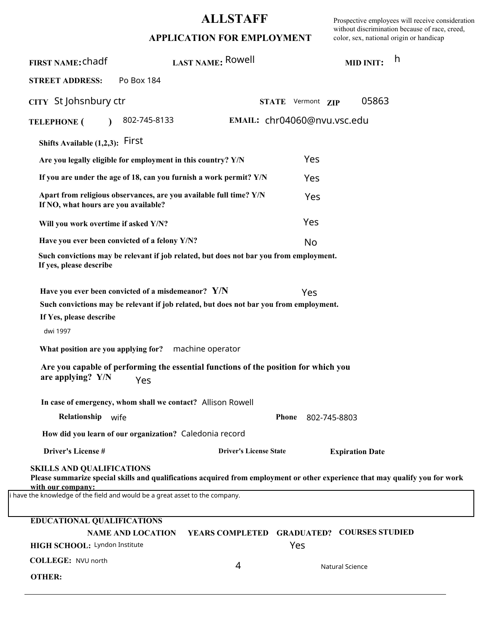## **ALLSTAFF**

Prospective employees will receive consideration without discrimination because of race, creed, color, sex, national origin or handicap

| APPLICATION FOR EMPLOYMENT |  |  |  |
|----------------------------|--|--|--|
|----------------------------|--|--|--|

| <b>FIRST NAME: Chadf</b>                                                                                                              | LAST NAME: Rowell                                                                                                                                                                                                                                                |                                                   | <b>MID INIT:</b>       | h     |
|---------------------------------------------------------------------------------------------------------------------------------------|------------------------------------------------------------------------------------------------------------------------------------------------------------------------------------------------------------------------------------------------------------------|---------------------------------------------------|------------------------|-------|
| <b>STREET ADDRESS:</b>                                                                                                                | Po Box 184                                                                                                                                                                                                                                                       |                                                   |                        |       |
| CITY St Johsnbury ctr                                                                                                                 |                                                                                                                                                                                                                                                                  | STATE Vermont ZIP                                 |                        | 05863 |
| <b>TELEPHONE</b> (                                                                                                                    | 802-745-8133                                                                                                                                                                                                                                                     | EMAIL: chr04060@nvu.vsc.edu                       |                        |       |
| Shifts Available $(1,2,3)$ : First                                                                                                    |                                                                                                                                                                                                                                                                  |                                                   |                        |       |
|                                                                                                                                       | Are you legally eligible for employment in this country? Y/N                                                                                                                                                                                                     |                                                   | Yes                    |       |
|                                                                                                                                       | If you are under the age of 18, can you furnish a work permit? Y/N                                                                                                                                                                                               |                                                   | Yes                    |       |
| If NO, what hours are you available?                                                                                                  | Apart from religious observances, are you available full time? Y/N                                                                                                                                                                                               |                                                   | Yes                    |       |
| Will you work overtime if asked Y/N?                                                                                                  |                                                                                                                                                                                                                                                                  |                                                   | Yes                    |       |
| Have you ever been convicted of a felony Y/N?                                                                                         |                                                                                                                                                                                                                                                                  |                                                   | No                     |       |
| If yes, please describe                                                                                                               | Such convictions may be relevant if job related, but does not bar you from employment.                                                                                                                                                                           |                                                   |                        |       |
| If Yes, please describe<br>dwi 1997<br>What position are you applying for?<br>are applying? Y/N                                       | Have you ever been convicted of a misdemeanor? $Y/N$<br>Such convictions may be relevant if job related, but does not bar you from employment.<br>machine operator<br>Are you capable of performing the essential functions of the position for which you<br>Yes |                                                   | Yes                    |       |
|                                                                                                                                       | In case of emergency, whom shall we contact? Allison Rowell                                                                                                                                                                                                      |                                                   |                        |       |
| Relationship wife                                                                                                                     |                                                                                                                                                                                                                                                                  | <b>Phone</b>                                      | 802-745-8803           |       |
|                                                                                                                                       | How did you learn of our organization? Caledonia record                                                                                                                                                                                                          |                                                   |                        |       |
| <b>Driver's License#</b>                                                                                                              |                                                                                                                                                                                                                                                                  | <b>Driver's License State</b>                     | <b>Expiration Date</b> |       |
| <b>SKILLS AND QUALIFICATIONS</b><br>with our company:<br>i have the knowledge of the field and would be a great asset to the company. | Please summarize special skills and qualifications acquired from employment or other experience that may qualify you for work                                                                                                                                    |                                                   |                        |       |
| <b>EDUCATIONAL QUALIFICATIONS</b>                                                                                                     |                                                                                                                                                                                                                                                                  |                                                   |                        |       |
| HIGH SCHOOL: Lyndon Institute                                                                                                         | <b>NAME AND LOCATION</b>                                                                                                                                                                                                                                         | YEARS COMPLETED GRADUATED? COURSES STUDIED<br>Yes |                        |       |
| COLLEGE: NVU north                                                                                                                    |                                                                                                                                                                                                                                                                  | 4                                                 | Natural Science        |       |
| <b>OTHER:</b>                                                                                                                         |                                                                                                                                                                                                                                                                  |                                                   |                        |       |